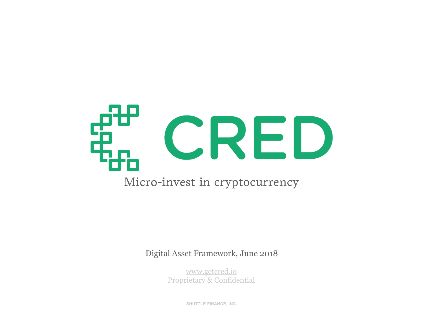

Digital Asset Framework, June 2018

[www.getcred.io](http://www.getcred.io) Proprietary & Confidential

**SHUTTLE FINANCE, INC.**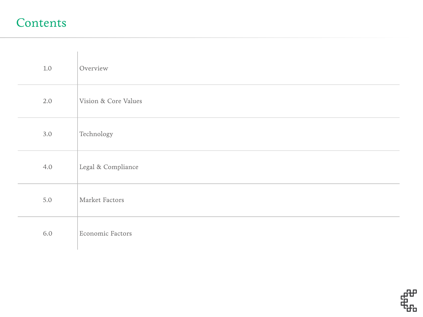#### Contents

| $1.0\,$ | Overview             |
|---------|----------------------|
| 2.0     | Vision & Core Values |
| 3.0     | Technology           |
| 4.0     | Legal & Compliance   |
| 5.0     | Market Factors       |
| 6.0     | Economic Factors     |

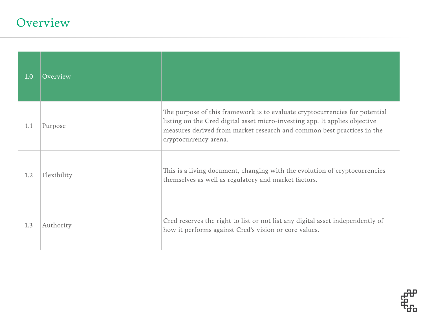### Overview

| 1.0 | Overview    |                                                                                                                                                                                                                                                               |
|-----|-------------|---------------------------------------------------------------------------------------------------------------------------------------------------------------------------------------------------------------------------------------------------------------|
| 1.1 | Purpose     | The purpose of this framework is to evaluate cryptocurrencies for potential<br>listing on the Cred digital asset micro-investing app. It applies objective<br>measures derived from market research and common best practices in the<br>cryptocurrency arena. |
| 1.2 | Flexibility | This is a living document, changing with the evolution of cryptocurrencies<br>themselves as well as regulatory and market factors.                                                                                                                            |
| 1.3 | Authority   | Cred reserves the right to list or not list any digital asset independently of<br>how it performs against Cred's vision or core values.                                                                                                                       |

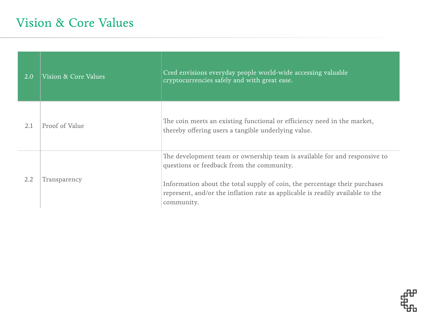| 2.0 | Vision & Core Values | Cred envisions everyday people world-wide accessing valuable<br>cryptocurrencies safely and with great ease.                                                                                                                                                                                         |
|-----|----------------------|------------------------------------------------------------------------------------------------------------------------------------------------------------------------------------------------------------------------------------------------------------------------------------------------------|
| 2.1 | Proof of Value       | The coin meets an existing functional or efficiency need in the market,<br>thereby offering users a tangible underlying value.                                                                                                                                                                       |
| 2.2 | Transparency         | The development team or ownership team is available for and responsive to<br>questions or feedback from the community.<br>Information about the total supply of coin, the percentage their purchases<br>represent, and/or the inflation rate as applicable is readily available to the<br>community. |

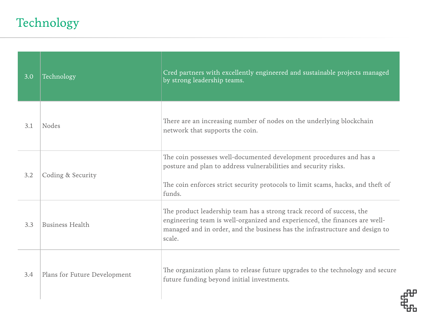# Technology

| 3.0 | Technology                   | Cred partners with excellently engineered and sustainable projects managed<br>by strong leadership teams.                                                                                                                                    |
|-----|------------------------------|----------------------------------------------------------------------------------------------------------------------------------------------------------------------------------------------------------------------------------------------|
| 3.1 | <b>Nodes</b>                 | There are an increasing number of nodes on the underlying blockchain<br>network that supports the coin.                                                                                                                                      |
| 3.2 | Coding & Security            | The coin possesses well-documented development procedures and has a<br>posture and plan to address vulnerabilities and security risks.<br>The coin enforces strict security protocols to limit scams, hacks, and theft of<br>funds.          |
| 3.3 | <b>Business Health</b>       | The product leadership team has a strong track record of success, the<br>engineering team is well-organized and experienced, the finances are well-<br>managed and in order, and the business has the infrastructure and design to<br>scale. |
| 3.4 | Plans for Future Development | The organization plans to release future upgrades to the technology and secure<br>future funding beyond initial investments.                                                                                                                 |

毌

đо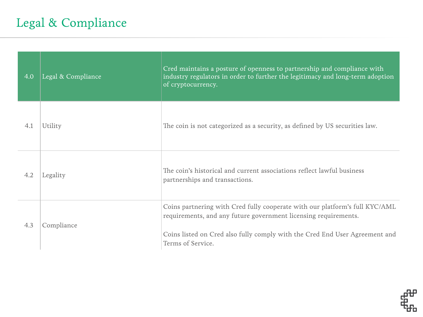## Legal & Compliance

| 4.0 | Legal & Compliance | Cred maintains a posture of openness to partnership and compliance with<br>industry regulators in order to further the legitimacy and long-term adoption<br>of cryptocurrency.                                                                     |
|-----|--------------------|----------------------------------------------------------------------------------------------------------------------------------------------------------------------------------------------------------------------------------------------------|
| 4.1 | Utility            | The coin is not categorized as a security, as defined by US securities law.                                                                                                                                                                        |
| 4.2 | Legality           | The coin's historical and current associations reflect lawful business<br>partnerships and transactions.                                                                                                                                           |
| 4.3 | Compliance         | Coins partnering with Cred fully cooperate with our platform's full KYC/AML<br>requirements, and any future government licensing requirements.<br>Coins listed on Cred also fully comply with the Cred End User Agreement and<br>Terms of Service. |

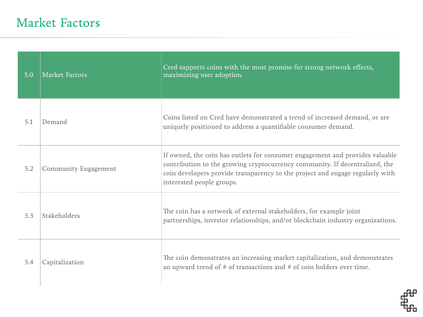### Market Factors

| 5.0 | Market Factors              | Cred supports coins with the most promise for strong network effects,<br>maximizing user adoption.                                                                                                                                                                        |
|-----|-----------------------------|---------------------------------------------------------------------------------------------------------------------------------------------------------------------------------------------------------------------------------------------------------------------------|
| 5.1 | Demand                      | Coins listed on Cred have demonstrated a trend of increased demand, or are<br>uniquely positioned to address a quantifiable consumer demand.                                                                                                                              |
| 5.2 | <b>Community Engagement</b> | If owned, the coin has outlets for consumer engagement and provides valuable<br>contribution to the growing cryptocurrency community. If decentralized, the<br>coin developers provide transparency to the project and engage regularly with<br>interested people groups. |
| 5.3 | <b>Stakeholders</b>         | The coin has a network of external stakeholders, for example joint<br>partnerships, investor relationships, and/or blockchain industry organizations.                                                                                                                     |
| 5.4 | Capitalization              | The coin demonstrates an increasing market capitalization, and demonstrates<br>an upward trend of $#$ of transactions and $#$ of coin holders over time.                                                                                                                  |

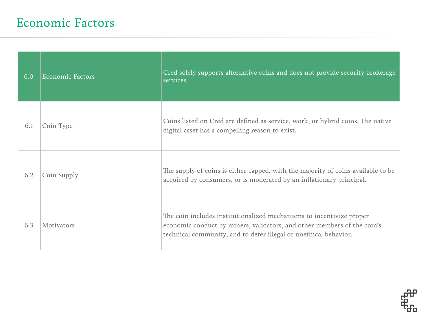| 6.0 | <b>Economic Factors</b> | Cred solely supports alternative coins and does not provide security brokerage<br>services.                                                                                                                         |
|-----|-------------------------|---------------------------------------------------------------------------------------------------------------------------------------------------------------------------------------------------------------------|
| 6.1 | Coin Type               | Coins listed on Cred are defined as service, work, or hybrid coins. The native<br>digital asset has a compelling reason to exist.                                                                                   |
| 6.2 | Coin Supply             | The supply of coins is either capped, with the majority of coins available to be<br>acquired by consumers, or is moderated by an inflationary principal.                                                            |
| 6.3 | <b>Motivators</b>       | The coin includes institutionalized mechanisms to incentivize proper<br>economic conduct by miners, validators, and other members of the coin's<br>technical community, and to deter illegal or unethical behavior. |